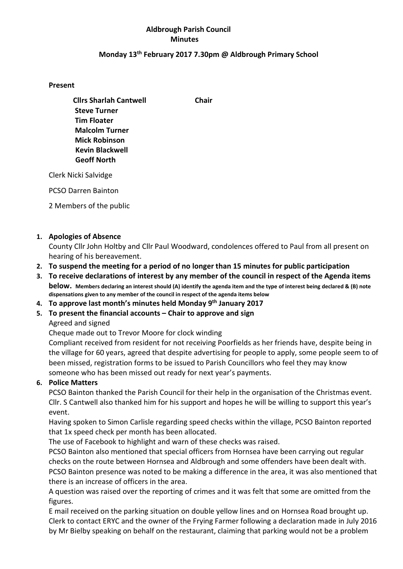### Aldbrough Parish Council Minutes

#### Monday 13th February 2017 7.30pm @ Aldbrough Primary School

#### Present

Cllrs Sharlah Cantwell Chair Steve Turner Malcolm Turner Mick Robinson Kevin Blackwell Geoff North

Tim Floater

Clerk Nicki Salvidge

PCSO Darren Bainton

2 Members of the public

### 1. Apologies of Absence

County Cllr John Holtby and Cllr Paul Woodward, condolences offered to Paul from all present on hearing of his bereavement.

- 2. To suspend the meeting for a period of no longer than 15 minutes for public participation
- 3. To receive declarations of interest by any member of the council in respect of the Agenda items below. Members declaring an interest should (A) identify the agenda item and the type of interest being declared & (B) note dispensations given to any member of the council in respect of the agenda items below
- 4. To approve last month's minutes held Monday 9<sup>th</sup> January 2017
- 5. To present the financial accounts Chair to approve and sign

### Agreed and signed

Cheque made out to Trevor Moore for clock winding

Compliant received from resident for not receiving Poorfields as her friends have, despite being in the village for 60 years, agreed that despite advertising for people to apply, some people seem to of been missed, registration forms to be issued to Parish Councillors who feel they may know someone who has been missed out ready for next year's payments.

### 6. Police Matters

PCSO Bainton thanked the Parish Council for their help in the organisation of the Christmas event. Cllr. S Cantwell also thanked him for his support and hopes he will be willing to support this year's event.

Having spoken to Simon Carlisle regarding speed checks within the village, PCSO Bainton reported that 1x speed check per month has been allocated.

The use of Facebook to highlight and warn of these checks was raised.

PCSO Bainton also mentioned that special officers from Hornsea have been carrying out regular checks on the route between Hornsea and Aldbrough and some offenders have been dealt with. PCSO Bainton presence was noted to be making a difference in the area, it was also mentioned that there is an increase of officers in the area.

A question was raised over the reporting of crimes and it was felt that some are omitted from the figures.

E mail received on the parking situation on double yellow lines and on Hornsea Road brought up. Clerk to contact ERYC and the owner of the Frying Farmer following a declaration made in July 2016 by Mr Bielby speaking on behalf on the restaurant, claiming that parking would not be a problem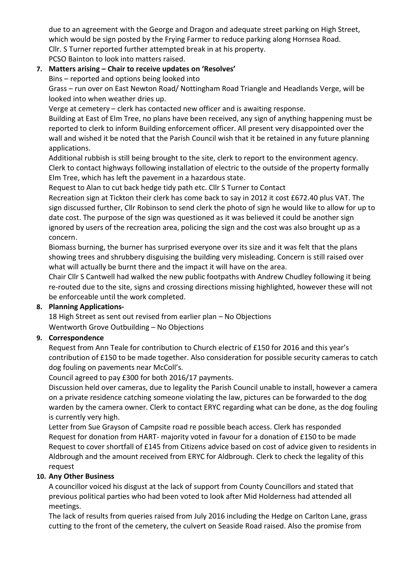due to an agreement with the George and Dragon and adequate street parking on High Street, which would be sign posted by the Frying Farmer to reduce parking along Hornsea Road. Cllr. S Turner reported further attempted break in at his property. PCSO Bainton to look into matters raised.

# 7. Matters arising – Chair to receive updates on 'Resolves'

Bins – reported and options being looked into

Grass – run over on East Newton Road/ Nottingham Road Triangle and Headlands Verge, will be looked into when weather dries up.

Verge at cemetery – clerk has contacted new officer and is awaiting response.

Building at East of Elm Tree, no plans have been received, any sign of anything happening must be reported to clerk to inform Building enforcement officer. All present very disappointed over the wall and wished it be noted that the Parish Council wish that it be retained in any future planning applications.

Additional rubbish is still being brought to the site, clerk to report to the environment agency. Clerk to contact highways following installation of electric to the outside of the property formally Elm Tree, which has left the pavement in a hazardous state.

Request to Alan to cut back hedge tidy path etc. Cllr S Turner to Contact

Recreation sign at Tickton their clerk has come back to say in 2012 it cost £672.40 plus VAT. The sign discussed further, Cllr Robinson to send clerk the photo of sign he would like to allow for up to date cost. The purpose of the sign was questioned as it was believed it could be another sign ignored by users of the recreation area, policing the sign and the cost was also brought up as a concern.

Biomass burning, the burner has surprised everyone over its size and it was felt that the plans showing trees and shrubbery disguising the building very misleading. Concern is still raised over what will actually be burnt there and the impact it will have on the area.

Chair Cllr S Cantwell had walked the new public footpaths with Andrew Chudley following it being re-routed due to the site, signs and crossing directions missing highlighted, however these will not be enforceable until the work completed.

## 8. Planning Applications-

18 High Street as sent out revised from earlier plan – No Objections Wentworth Grove Outbuilding – No Objections

## 9. Correspondence

Request from Ann Teale for contribution to Church electric of £150 for 2016 and this year's contribution of £150 to be made together. Also consideration for possible security cameras to catch dog fouling on pavements near McColl's.

Council agreed to pay £300 for both 2016/17 payments.

Discussion held over cameras, due to legality the Parish Council unable to install, however a camera on a private residence catching someone violating the law, pictures can be forwarded to the dog warden by the camera owner. Clerk to contact ERYC regarding what can be done, as the dog fouling is currently very high.

Letter from Sue Grayson of Campsite road re possible beach access. Clerk has responded Request for donation from HART- majority voted in favour for a donation of £150 to be made Request to cover shortfall of £145 from Citizens advice based on cost of advice given to residents in Aldbrough and the amount received from ERYC for Aldbrough. Clerk to check the legality of this request

### 10. Any Other Business

A councillor voiced his disgust at the lack of support from County Councillors and stated that previous political parties who had been voted to look after Mid Holderness had attended all meetings.

The lack of results from queries raised from July 2016 including the Hedge on Carlton Lane, grass cutting to the front of the cemetery, the culvert on Seaside Road raised. Also the promise from